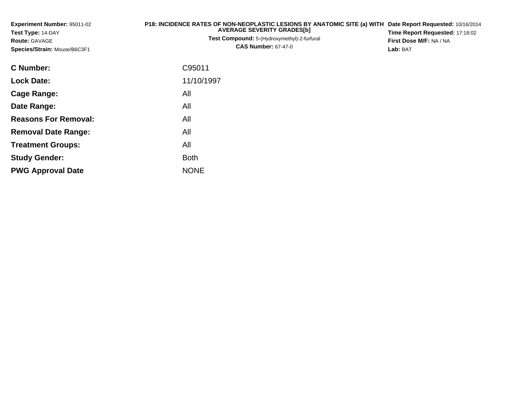| Experiment Number: 95011-02<br>Test Type: 14-DAY<br>Route: GAVAGE<br>Species/Strain: Mouse/B6C3F1 | P18: INCIDENCE RATES OF NON-NEOPLASTIC LESIONS BY ANATOMIC SITE (a) WITH Date Report Requested: 10/16/2014<br><b>AVERAGE SEVERITY GRADES[b]</b><br>Test Compound: 5-(Hydroxymethyl)-2-furfural<br><b>CAS Number: 67-47-0</b> | Time Report Requested: 17:18:02<br>First Dose M/F: NA / NA<br>Lab: BAT |
|---------------------------------------------------------------------------------------------------|------------------------------------------------------------------------------------------------------------------------------------------------------------------------------------------------------------------------------|------------------------------------------------------------------------|
| <b>C</b> Number:                                                                                  | C95011                                                                                                                                                                                                                       |                                                                        |
| <b>Lock Date:</b>                                                                                 | 11/10/1997                                                                                                                                                                                                                   |                                                                        |
| Cage Range:                                                                                       | All                                                                                                                                                                                                                          |                                                                        |
| Date Range:                                                                                       | All                                                                                                                                                                                                                          |                                                                        |
| <b>Reasons For Removal:</b>                                                                       | All                                                                                                                                                                                                                          |                                                                        |
| <b>Removal Date Range:</b>                                                                        | All                                                                                                                                                                                                                          |                                                                        |
| <b>Treatment Groups:</b>                                                                          | All                                                                                                                                                                                                                          |                                                                        |
| <b>Study Gender:</b>                                                                              | <b>Both</b>                                                                                                                                                                                                                  |                                                                        |

e NONE

**PWG Approval Date**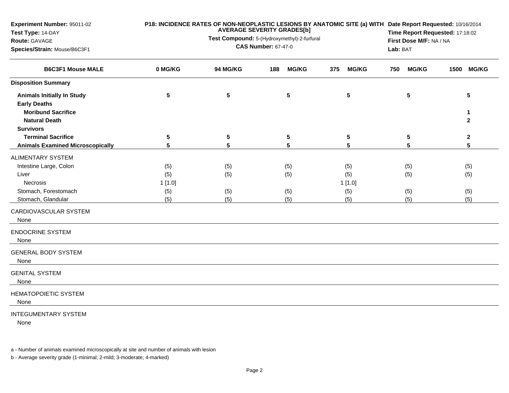| <b>Experiment Number: 95011-02</b><br>Test Type: 14-DAY<br>Route: GAVAGE<br>Species/Strain: Mouse/B6C3F1<br><b>B6C3F1 Mouse MALE</b> |           | <b>AVERAGE SEVERITY GRADES[b]</b><br>Test Compound: 5-(Hydroxymethyl)-2-furfural<br><b>CAS Number: 67-47-0</b> | Lab: BAT            | P18: INCIDENCE RATES OF NON-NEOPLASTIC LESIONS BY ANATOMIC SITE (a) WITH Date Report Requested: 10/16/2014<br>Time Report Requested: 17:18:02<br>First Dose M/F: NA / NA |                     |                        |
|--------------------------------------------------------------------------------------------------------------------------------------|-----------|----------------------------------------------------------------------------------------------------------------|---------------------|--------------------------------------------------------------------------------------------------------------------------------------------------------------------------|---------------------|------------------------|
|                                                                                                                                      | 0 MG/KG   | <b>94 MG/KG</b>                                                                                                | <b>MG/KG</b><br>188 | <b>MG/KG</b><br>375                                                                                                                                                      | <b>MG/KG</b><br>750 | 1500 MG/KG             |
| <b>Disposition Summary</b>                                                                                                           |           |                                                                                                                |                     |                                                                                                                                                                          |                     |                        |
| <b>Animals Initially In Study</b><br><b>Early Deaths</b><br><b>Moribund Sacrifice</b><br><b>Natural Death</b>                        | 5         | 5                                                                                                              | 5                   | 5                                                                                                                                                                        | 5                   | 5<br>1<br>$\mathbf{2}$ |
| <b>Survivors</b>                                                                                                                     |           |                                                                                                                |                     |                                                                                                                                                                          |                     |                        |
| <b>Terminal Sacrifice</b>                                                                                                            | ${\bf 5}$ | ${\bf 5}$                                                                                                      | ${\bf 5}$           | ${\bf 5}$                                                                                                                                                                | ${\bf 5}$           | $\boldsymbol{2}$       |
| <b>Animals Examined Microscopically</b>                                                                                              | 5         | 5                                                                                                              | 5                   | 5                                                                                                                                                                        | 5                   | $5\phantom{a}$         |
| ALIMENTARY SYSTEM                                                                                                                    |           |                                                                                                                |                     |                                                                                                                                                                          |                     |                        |
| Intestine Large, Colon                                                                                                               | (5)       | (5)                                                                                                            | (5)                 | (5)                                                                                                                                                                      | (5)                 | (5)                    |
| Liver                                                                                                                                | (5)       | (5)                                                                                                            | (5)                 | (5)                                                                                                                                                                      | (5)                 | (5)                    |
| <b>Necrosis</b>                                                                                                                      | 1[1.0]    |                                                                                                                |                     | 1[1.0]                                                                                                                                                                   |                     |                        |
| Stomach, Forestomach                                                                                                                 | (5)       | (5)                                                                                                            | (5)                 | (5)                                                                                                                                                                      | (5)                 | (5)                    |
| Stomach, Glandular                                                                                                                   | (5)       | (5)                                                                                                            | (5)                 | (5)                                                                                                                                                                      | (5)                 | (5)                    |
| CARDIOVASCULAR SYSTEM                                                                                                                |           |                                                                                                                |                     |                                                                                                                                                                          |                     |                        |
| None                                                                                                                                 |           |                                                                                                                |                     |                                                                                                                                                                          |                     |                        |
| <b>ENDOCRINE SYSTEM</b><br>None                                                                                                      |           |                                                                                                                |                     |                                                                                                                                                                          |                     |                        |
| <b>GENERAL BODY SYSTEM</b><br>None                                                                                                   |           |                                                                                                                |                     |                                                                                                                                                                          |                     |                        |
| <b>GENITAL SYSTEM</b><br>None                                                                                                        |           |                                                                                                                |                     |                                                                                                                                                                          |                     |                        |
| <b>HEMATOPOIETIC SYSTEM</b><br>None                                                                                                  |           |                                                                                                                |                     |                                                                                                                                                                          |                     |                        |
| <b>INTEGUMENTARY SYSTEM</b>                                                                                                          |           |                                                                                                                |                     |                                                                                                                                                                          |                     |                        |

None

a - Number of animals examined microscopically at site and number of animals with lesion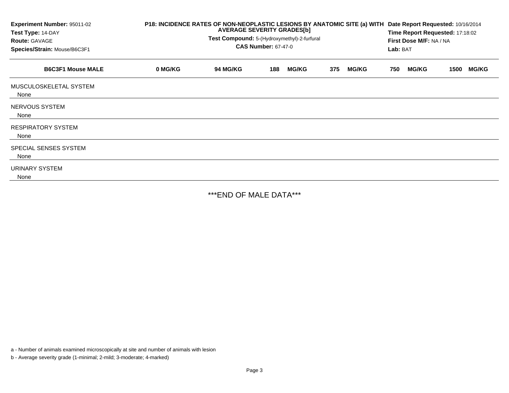| Experiment Number: 95011-02<br>Test Type: 14-DAY<br><b>Route: GAVAGE</b><br>Species/Strain: Mouse/B6C3F1<br><b>B6C3F1 Mouse MALE</b> | P18: INCIDENCE RATES OF NON-NEOPLASTIC LESIONS BY ANATOMIC SITE (a) WITH<br><b>AVERAGE SEVERITY GRADES[b]</b><br>Test Compound: 5-(Hydroxymethyl)-2-furfural<br><b>CAS Number: 67-47-0</b> |                 |     |              |     |              |     | Date Report Requested: 10/16/2014<br>Time Report Requested: 17:18:02<br>First Dose M/F: NA / NA<br>Lab: BAT |      |              |  |
|--------------------------------------------------------------------------------------------------------------------------------------|--------------------------------------------------------------------------------------------------------------------------------------------------------------------------------------------|-----------------|-----|--------------|-----|--------------|-----|-------------------------------------------------------------------------------------------------------------|------|--------------|--|
|                                                                                                                                      | 0 MG/KG                                                                                                                                                                                    | <b>94 MG/KG</b> | 188 | <b>MG/KG</b> | 375 | <b>MG/KG</b> | 750 | <b>MG/KG</b>                                                                                                | 1500 | <b>MG/KG</b> |  |
| MUSCULOSKELETAL SYSTEM<br>None                                                                                                       |                                                                                                                                                                                            |                 |     |              |     |              |     |                                                                                                             |      |              |  |
| NERVOUS SYSTEM<br>None                                                                                                               |                                                                                                                                                                                            |                 |     |              |     |              |     |                                                                                                             |      |              |  |
| <b>RESPIRATORY SYSTEM</b><br>None                                                                                                    |                                                                                                                                                                                            |                 |     |              |     |              |     |                                                                                                             |      |              |  |
| SPECIAL SENSES SYSTEM<br>None                                                                                                        |                                                                                                                                                                                            |                 |     |              |     |              |     |                                                                                                             |      |              |  |
| URINARY SYSTEM<br>None                                                                                                               |                                                                                                                                                                                            |                 |     |              |     |              |     |                                                                                                             |      |              |  |

\*\*\*END OF MALE DATA\*\*\*

a - Number of animals examined microscopically at site and number of animals with lesion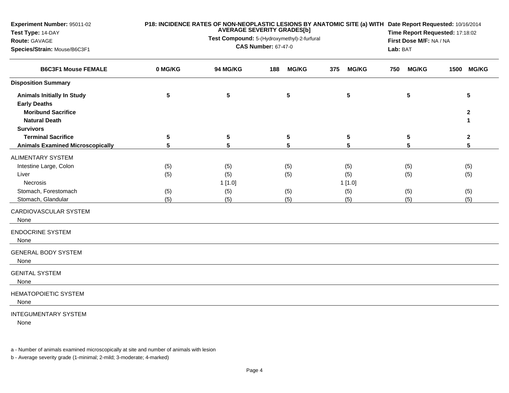| Experiment Number: 95011-02<br>Test Type: 14-DAY<br>Route: GAVAGE<br>Species/Strain: Mouse/B6C3F1             |            | P18: INCIDENCE RATES OF NON-NEOPLASTIC LESIONS BY ANATOMIC SITE (a) WITH Date Report Requested: 10/16/2014<br>Time Report Requested: 17:18:02<br>First Dose M/F: NA / NA<br>Lab: BAT |                     |                      |                     |                                  |
|---------------------------------------------------------------------------------------------------------------|------------|--------------------------------------------------------------------------------------------------------------------------------------------------------------------------------------|---------------------|----------------------|---------------------|----------------------------------|
| <b>B6C3F1 Mouse FEMALE</b>                                                                                    | 0 MG/KG    | <b>94 MG/KG</b>                                                                                                                                                                      | <b>MG/KG</b><br>188 | <b>MG/KG</b><br>375  | <b>MG/KG</b><br>750 | 1500 MG/KG                       |
| <b>Disposition Summary</b>                                                                                    |            |                                                                                                                                                                                      |                     |                      |                     |                                  |
| <b>Animals Initially In Study</b><br><b>Early Deaths</b><br><b>Moribund Sacrifice</b><br><b>Natural Death</b> | 5          | 5                                                                                                                                                                                    | 5                   | 5                    | 5                   | 5<br>$\mathbf{2}$<br>$\mathbf 1$ |
| <b>Survivors</b>                                                                                              |            |                                                                                                                                                                                      |                     |                      |                     |                                  |
| <b>Terminal Sacrifice</b>                                                                                     | 5          | 5                                                                                                                                                                                    | ${\bf 5}$           | $\sqrt{5}$           | 5                   | $\boldsymbol{2}$                 |
| <b>Animals Examined Microscopically</b>                                                                       | 5          | 5                                                                                                                                                                                    | 5                   | 5                    | 5                   | $5\phantom{.0}$                  |
| <b>ALIMENTARY SYSTEM</b><br>Intestine Large, Colon<br>Liver<br>Necrosis                                       | (5)<br>(5) | (5)<br>(5)<br>1[1.0]                                                                                                                                                                 | (5)<br>(5)          | (5)<br>(5)<br>1[1.0] | (5)<br>(5)          | (5)<br>(5)                       |
| Stomach, Forestomach                                                                                          | (5)        | (5)                                                                                                                                                                                  | (5)                 | (5)                  | (5)                 | (5)                              |
| Stomach, Glandular                                                                                            | (5)        | (5)                                                                                                                                                                                  | (5)                 | (5)                  | (5)                 | (5)                              |
| CARDIOVASCULAR SYSTEM<br>None                                                                                 |            |                                                                                                                                                                                      |                     |                      |                     |                                  |
| <b>ENDOCRINE SYSTEM</b><br>None                                                                               |            |                                                                                                                                                                                      |                     |                      |                     |                                  |
| <b>GENERAL BODY SYSTEM</b><br>None                                                                            |            |                                                                                                                                                                                      |                     |                      |                     |                                  |
| <b>GENITAL SYSTEM</b><br>None                                                                                 |            |                                                                                                                                                                                      |                     |                      |                     |                                  |
| <b>HEMATOPOIETIC SYSTEM</b><br>None                                                                           |            |                                                                                                                                                                                      |                     |                      |                     |                                  |
| <b>INTEGUMENTARY SYSTEM</b>                                                                                   |            |                                                                                                                                                                                      |                     |                      |                     |                                  |

None

a - Number of animals examined microscopically at site and number of animals with lesion